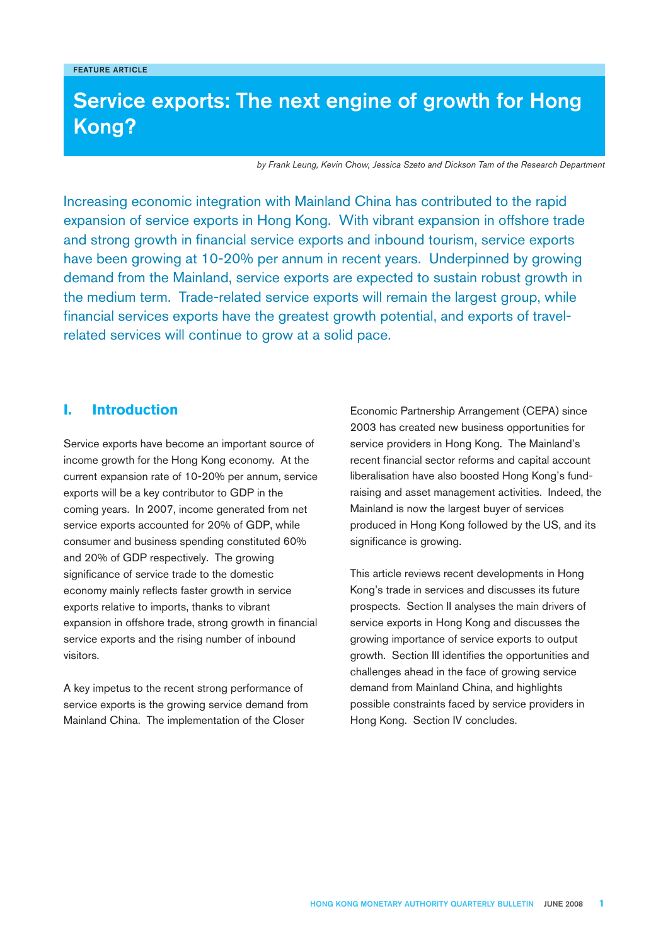# Service exports: The next engine of growth for Hong Kong?

*by Frank Leung, Kevin Chow, Jessica Szeto and Dickson Tam of the Research Department*

Increasing economic integration with Mainland China has contributed to the rapid expansion of service exports in Hong Kong. With vibrant expansion in offshore trade and strong growth in financial service exports and inbound tourism, service exports have been growing at 10-20% per annum in recent years. Underpinned by growing demand from the Mainland, service exports are expected to sustain robust growth in the medium term. Trade-related service exports will remain the largest group, while financial services exports have the greatest growth potential, and exports of travelrelated services will continue to grow at a solid pace.

### **I. Introduction**

Service exports have become an important source of income growth for the Hong Kong economy. At the current expansion rate of 10-20% per annum, service exports will be a key contributor to GDP in the coming years. In 2007, income generated from net service exports accounted for 20% of GDP, while consumer and business spending constituted 60% and 20% of GDP respectively. The growing significance of service trade to the domestic economy mainly reflects faster growth in service exports relative to imports, thanks to vibrant expansion in offshore trade, strong growth in financial service exports and the rising number of inbound visitors.

A key impetus to the recent strong performance of service exports is the growing service demand from Mainland China. The implementation of the Closer

Economic Partnership Arrangement (CEPA) since 2003 has created new business opportunities for service providers in Hong Kong. The Mainland's recent financial sector reforms and capital account liberalisation have also boosted Hong Kong's fundraising and asset management activities. Indeed, the Mainland is now the largest buyer of services produced in Hong Kong followed by the US, and its significance is growing.

This article reviews recent developments in Hong Kong's trade in services and discusses its future prospects. Section II analyses the main drivers of service exports in Hong Kong and discusses the growing importance of service exports to output growth. Section III identifies the opportunities and challenges ahead in the face of growing service demand from Mainland China, and highlights possible constraints faced by service providers in Hong Kong. Section IV concludes.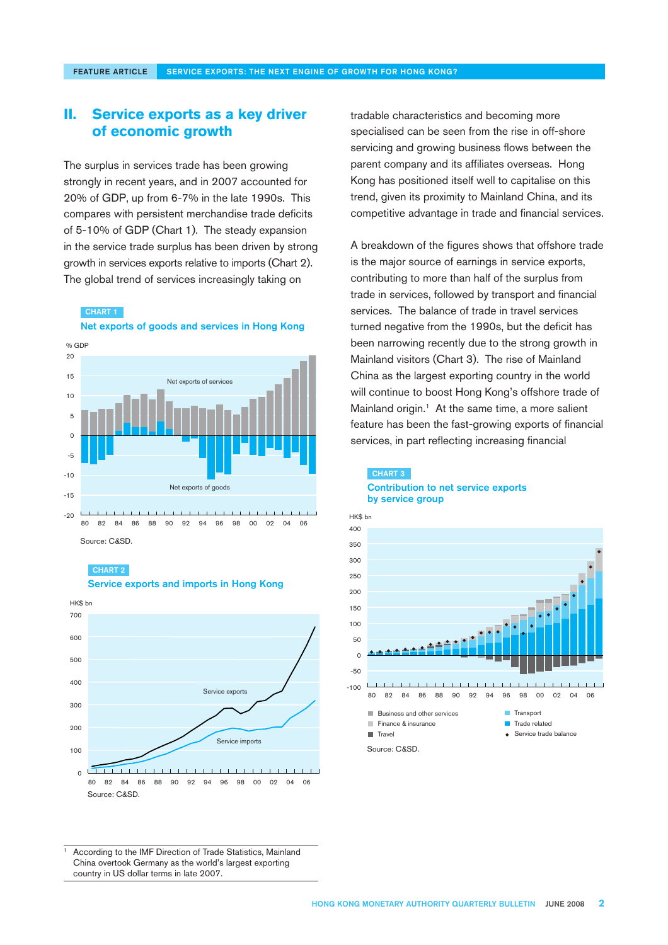### **II. Service exports as a key driver of economic growth**

The surplus in services trade has been growing strongly in recent years, and in 2007 accounted for 20% of GDP, up from 6-7% in the late 1990s. This compares with persistent merchandise trade deficits of 5-10% of GDP (Chart 1). The steady expansion in the service trade surplus has been driven by strong growth in services exports relative to imports (Chart 2). The global trend of services increasingly taking on

CHART 1

Net exports of goods and services in Hong Kong



CHART<sub>2</sub>



Service exports and imports in Hong Kong

tradable characteristics and becoming more specialised can be seen from the rise in off-shore servicing and growing business flows between the parent company and its affiliates overseas. Hong Kong has positioned itself well to capitalise on this trend, given its proximity to Mainland China, and its competitive advantage in trade and financial services.

A breakdown of the figures shows that offshore trade is the major source of earnings in service exports, contributing to more than half of the surplus from trade in services, followed by transport and financial services. The balance of trade in travel services turned negative from the 1990s, but the deficit has been narrowing recently due to the strong growth in Mainland visitors (Chart 3). The rise of Mainland China as the largest exporting country in the world will continue to boost Hong Kong's offshore trade of Mainland origin.<sup>1</sup> At the same time, a more salient feature has been the fast-growing exports of financial services, in part reflecting increasing financial





According to the IMF Direction of Trade Statistics, Mainland China overtook Germany as the world's largest exporting country in US dollar terms in late 2007.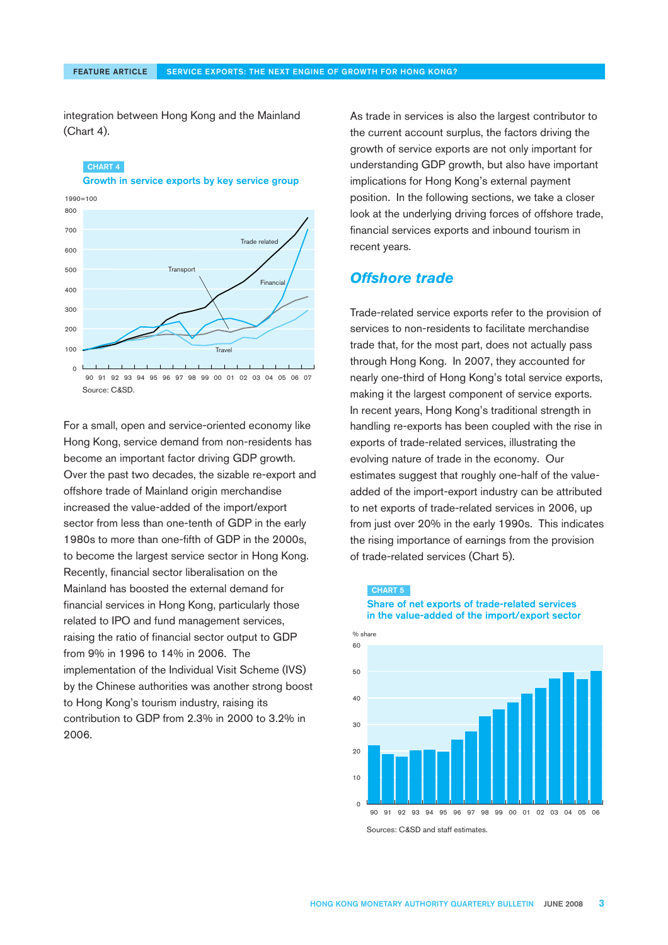integration between Hong Kong and the Mainland (Chart 4).



For a small, open and service-oriented economy like Hong Kong, service demand from non-residents has become an important factor driving GDP growth. Over the past two decades, the sizable re-export and offshore trade of Mainland origin merchandise increased the value-added of the import/export sector from less than one-tenth of GDP in the early 1980s to more than one-fifth of GDP in the 2000s, to become the largest service sector in Hong Kong. Recently, financial sector liberalisation on the Mainland has boosted the external demand for financial services in Hong Kong, particularly those related to IPO and fund management services, raising the ratio of financial sector output to GDP from 9% in 1996 to 14% in 2006. The implementation of the Individual Visit Scheme (IVS) by the Chinese authorities was another strong boost to Hong Kong's tourism industry, raising its contribution to GDP from 2.3% in 2000 to 3.2% in 2006.

As trade in services is also the largest contributor to the current account surplus, the factors driving the growth of service exports are not only important for understanding GDP growth, but also have important implications for Hong Kong's external payment position. In the following sections, we take a closer look at the underlying driving forces of offshore trade, financial services exports and inbound tourism in recent years.

### *Offshore trade*

CHART 5

Trade-related service exports refer to the provision of services to non-residents to facilitate merchandise trade that, for the most part, does not actually pass through Hong Kong. In 2007, they accounted for nearly one-third of Hong Kong's total service exports, making it the largest component of service exports. In recent years, Hong Kong's traditional strength in handling re-exports has been coupled with the rise in exports of trade-related services, illustrating the evolving nature of trade in the economy. Our estimates suggest that roughly one-half of the valueadded of the import-export industry can be attributed to net exports of trade-related services in 2006, up from just over 20% in the early 1990s. This indicates the rising importance of earnings from the provision of trade-related services (Chart 5).



Sources: C&SD and staff estimates.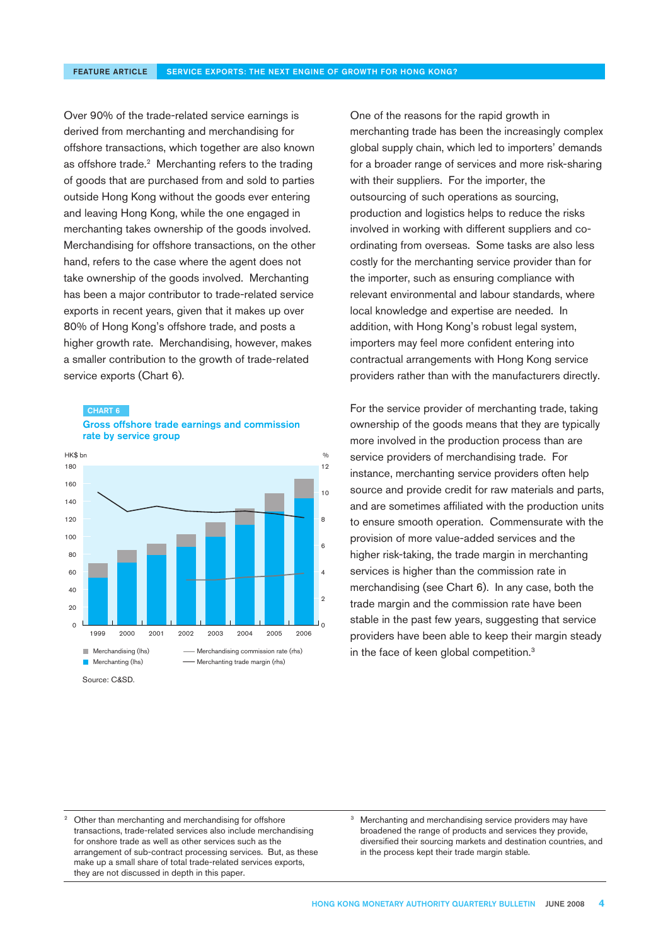CHART 6

 $0<sub>k</sub>$ 

Over 90% of the trade-related service earnings is derived from merchanting and merchandising for offshore transactions, which together are also known as offshore trade.<sup>2</sup> Merchanting refers to the trading of goods that are purchased from and sold to parties outside Hong Kong without the goods ever entering and leaving Hong Kong, while the one engaged in merchanting takes ownership of the goods involved. Merchandising for offshore transactions, on the other hand, refers to the case where the agent does not take ownership of the goods involved. Merchanting has been a major contributor to trade-related service exports in recent years, given that it makes up over 80% of Hong Kong's offshore trade, and posts a higher growth rate. Merchandising, however, makes a smaller contribution to the growth of trade-related service exports (Chart 6).





One of the reasons for the rapid growth in merchanting trade has been the increasingly complex global supply chain, which led to importers' demands for a broader range of services and more risk-sharing with their suppliers. For the importer, the outsourcing of such operations as sourcing, production and logistics helps to reduce the risks involved in working with different suppliers and coordinating from overseas. Some tasks are also less costly for the merchanting service provider than for the importer, such as ensuring compliance with relevant environmental and labour standards, where local knowledge and expertise are needed. In addition, with Hong Kong's robust legal system, importers may feel more confident entering into contractual arrangements with Hong Kong service providers rather than with the manufacturers directly.

For the service provider of merchanting trade, taking ownership of the goods means that they are typically more involved in the production process than are service providers of merchandising trade. For instance, merchanting service providers often help source and provide credit for raw materials and parts, and are sometimes affiliated with the production units to ensure smooth operation. Commensurate with the provision of more value-added services and the higher risk-taking, the trade margin in merchanting services is higher than the commission rate in merchandising (see Chart 6). In any case, both the trade margin and the commission rate have been stable in the past few years, suggesting that service providers have been able to keep their margin steady in the face of keen global competition.3

Other than merchanting and merchandising for offshore transactions, trade-related services also include merchandising for onshore trade as well as other services such as the arrangement of sub-contract processing services. But, as these make up a small share of total trade-related services exports, they are not discussed in depth in this paper.

Merchanting and merchandising service providers may have broadened the range of products and services they provide, diversified their sourcing markets and destination countries, and in the process kept their trade margin stable.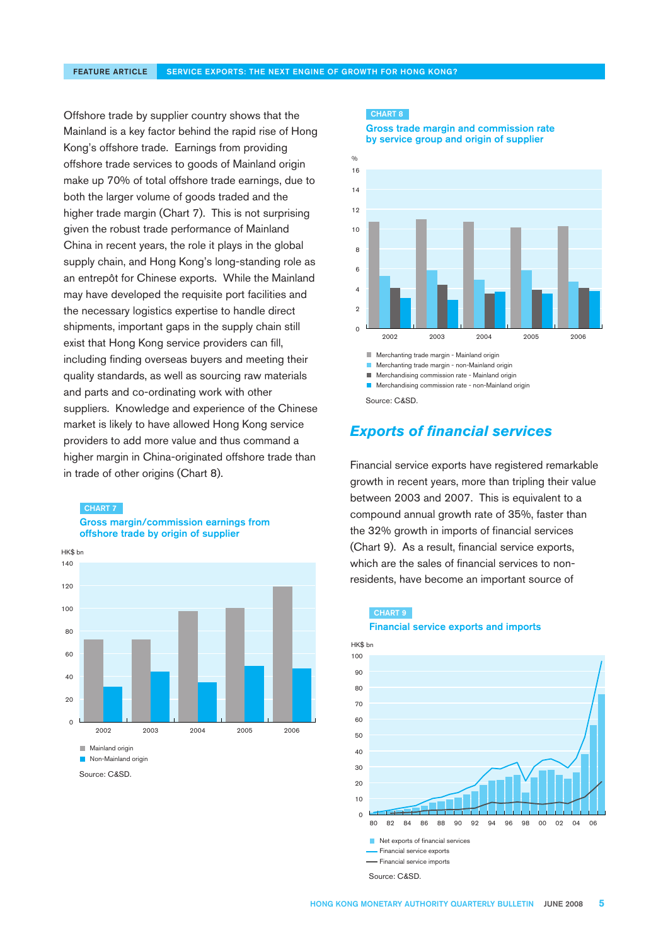Offshore trade by supplier country shows that the Mainland is a key factor behind the rapid rise of Hong Kong's offshore trade. Earnings from providing offshore trade services to goods of Mainland origin make up 70% of total offshore trade earnings, due to both the larger volume of goods traded and the higher trade margin (Chart 7). This is not surprising given the robust trade performance of Mainland China in recent years, the role it plays in the global supply chain, and Hong Kong's long-standing role as an entrepôt for Chinese exports. While the Mainland may have developed the requisite port facilities and the necessary logistics expertise to handle direct shipments, important gaps in the supply chain still exist that Hong Kong service providers can fill, including finding overseas buyers and meeting their quality standards, as well as sourcing raw materials and parts and co-ordinating work with other suppliers. Knowledge and experience of the Chinese market is likely to have allowed Hong Kong service providers to add more value and thus command a higher margin in China-originated offshore trade than in trade of other origins (Chart 8).

#### CHART 7

Gross margin/commission earnings from offshore trade by origin of supplier



#### CHART 8





### *Exports of financial services*

Financial service exports have registered remarkable growth in recent years, more than tripling their value between 2003 and 2007. This is equivalent to a compound annual growth rate of 35%, faster than the 32% growth in imports of financial services (Chart 9). As a result, financial service exports, which are the sales of financial services to nonresidents, have become an important source of



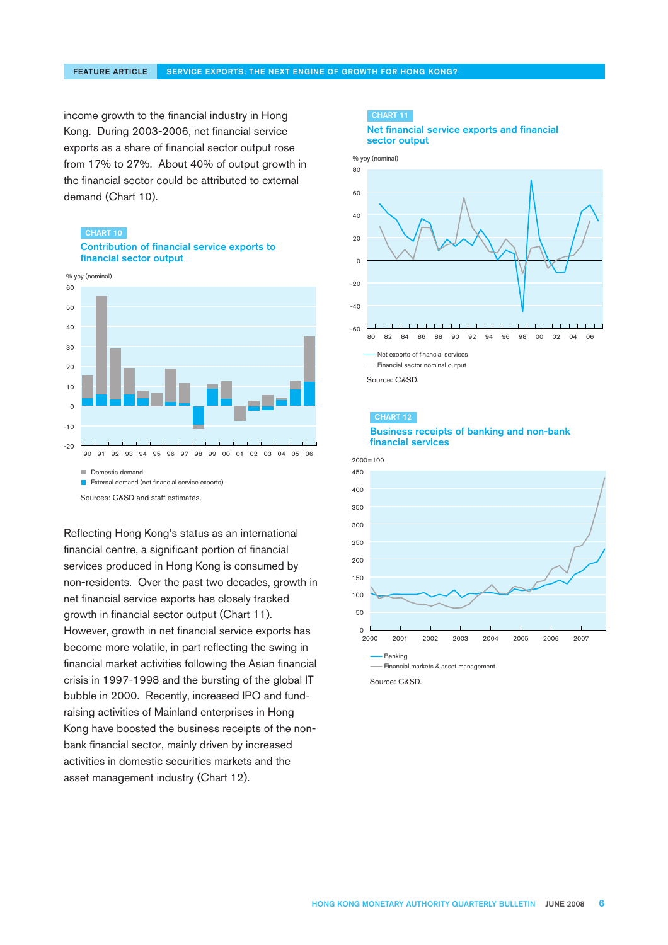income growth to the financial industry in Hong Kong. During 2003-2006, net financial service exports as a share of financial sector output rose from 17% to 27%. About 40% of output growth in the financial sector could be attributed to external demand (Chart 10).



#### Contribution of financial service exports to financial sector output



Reflecting Hong Kong's status as an international financial centre, a significant portion of financial services produced in Hong Kong is consumed by non-residents. Over the past two decades, growth in net financial service exports has closely tracked growth in financial sector output (Chart 11). However, growth in net financial service exports has become more volatile, in part reflecting the swing in financial market activities following the Asian financial crisis in 1997-1998 and the bursting of the global IT bubble in 2000. Recently, increased IPO and fundraising activities of Mainland enterprises in Hong Kong have boosted the business receipts of the nonbank financial sector, mainly driven by increased activities in domestic securities markets and the asset management industry (Chart 12).



#### CHART 12

#### Business receipts of banking and non-bank financial services

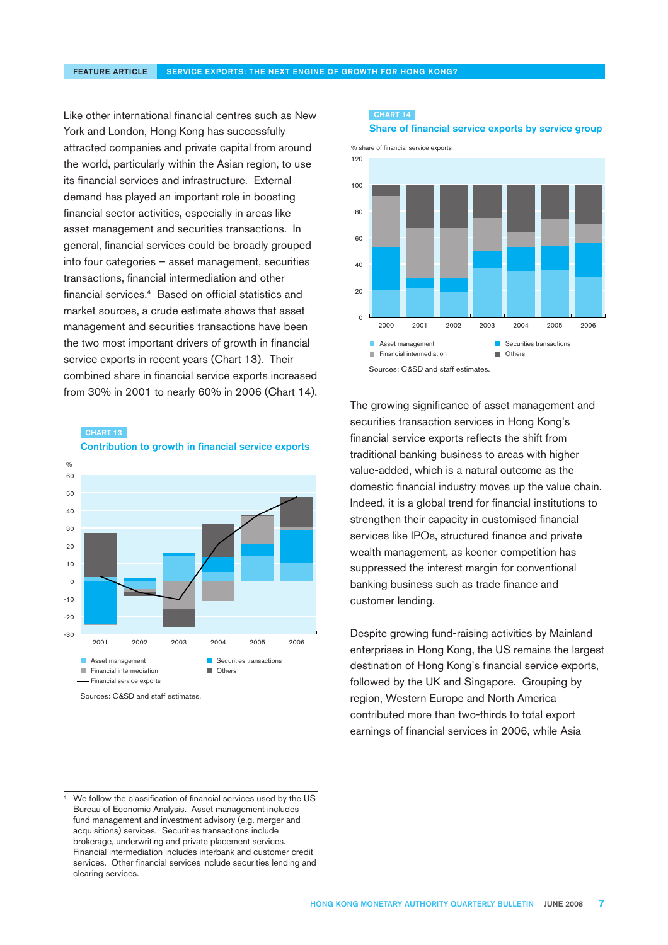Like other international financial centres such as New York and London, Hong Kong has successfully attracted companies and private capital from around the world, particularly within the Asian region, to use its financial services and infrastructure. External demand has played an important role in boosting financial sector activities, especially in areas like asset management and securities transactions. In general, financial services could be broadly grouped into four categories – asset management, securities transactions, financial intermediation and other financial services.4 Based on official statistics and market sources, a crude estimate shows that asset management and securities transactions have been the two most important drivers of growth in financial service exports in recent years (Chart 13). Their combined share in financial service exports increased from 30% in 2001 to nearly 60% in 2006 (Chart 14).



CHART 13

#### CHART 14





The growing significance of asset management and securities transaction services in Hong Kong's financial service exports reflects the shift from traditional banking business to areas with higher value-added, which is a natural outcome as the domestic financial industry moves up the value chain. Indeed, it is a global trend for financial institutions to strengthen their capacity in customised financial services like IPOs, structured finance and private wealth management, as keener competition has suppressed the interest margin for conventional banking business such as trade finance and customer lending.

Despite growing fund-raising activities by Mainland enterprises in Hong Kong, the US remains the largest destination of Hong Kong's financial service exports, followed by the UK and Singapore. Grouping by region, Western Europe and North America contributed more than two-thirds to total export earnings of financial services in 2006, while Asia

We follow the classification of financial services used by the US Bureau of Economic Analysis. Asset management includes fund management and investment advisory (e.g. merger and acquisitions) services. Securities transactions include brokerage, underwriting and private placement services. Financial intermediation includes interbank and customer credit services. Other financial services include securities lending and clearing services.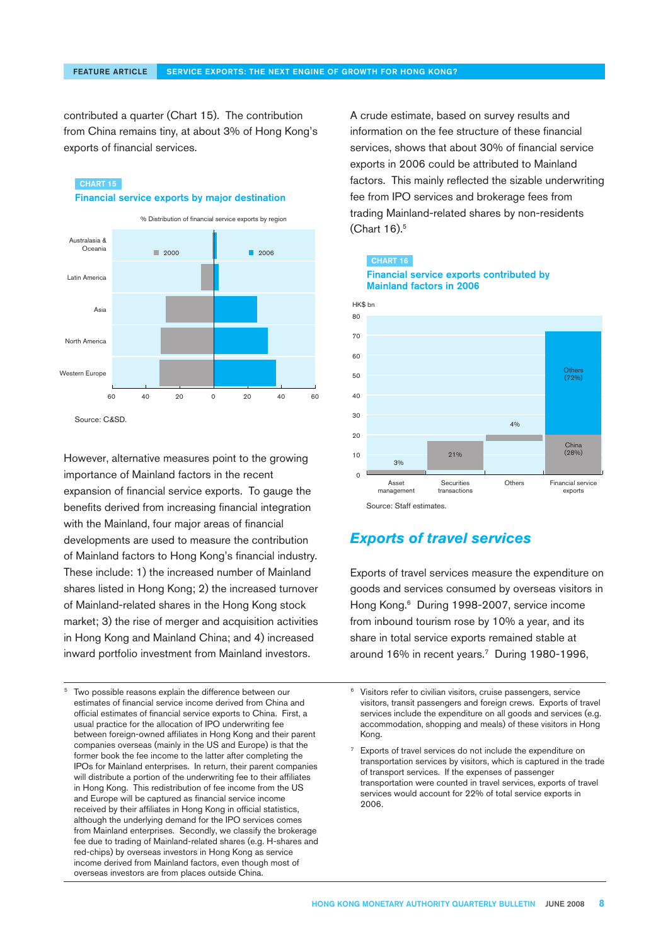contributed a quarter (Chart 15). The contribution from China remains tiny, at about 3% of Hong Kong's exports of financial services.



Financial service exports by major destination



However, alternative measures point to the growing importance of Mainland factors in the recent expansion of financial service exports. To gauge the benefits derived from increasing financial integration with the Mainland, four major areas of financial developments are used to measure the contribution of Mainland factors to Hong Kong's financial industry. These include: 1) the increased number of Mainland shares listed in Hong Kong; 2) the increased turnover of Mainland-related shares in the Hong Kong stock market; 3) the rise of merger and acquisition activities in Hong Kong and Mainland China; and 4) increased inward portfolio investment from Mainland investors.

<sup>5</sup> Two possible reasons explain the difference between our estimates of financial service income derived from China and official estimates of financial service exports to China. First, a usual practice for the allocation of IPO underwriting fee between foreign-owned affiliates in Hong Kong and their parent companies overseas (mainly in the US and Europe) is that the former book the fee income to the latter after completing the IPOs for Mainland enterprises. In return, their parent companies will distribute a portion of the underwriting fee to their affiliates in Hong Kong. This redistribution of fee income from the US and Europe will be captured as financial service income received by their affiliates in Hong Kong in official statistics, although the underlying demand for the IPO services comes from Mainland enterprises. Secondly, we classify the brokerage fee due to trading of Mainland-related shares (e.g. H-shares and red-chips) by overseas investors in Hong Kong as service income derived from Mainland factors, even though most of overseas investors are from places outside China.

A crude estimate, based on survey results and information on the fee structure of these financial services, shows that about 30% of financial service exports in 2006 could be attributed to Mainland factors. This mainly reflected the sizable underwriting fee from IPO services and brokerage fees from trading Mainland-related shares by non-residents (Chart 16).5



Financial service exports contributed by Mainland factors in 2006



### *Exports of travel services*

Exports of travel services measure the expenditure on goods and services consumed by overseas visitors in Hong Kong.<sup>6</sup> During 1998-2007, service income from inbound tourism rose by 10% a year, and its share in total service exports remained stable at around 16% in recent years.7 During 1980-1996,

<sup>6</sup> Visitors refer to civilian visitors, cruise passengers, service visitors, transit passengers and foreign crews. Exports of travel services include the expenditure on all goods and services (e.g. accommodation, shopping and meals) of these visitors in Hong Kong.

Exports of travel services do not include the expenditure on transportation services by visitors, which is captured in the trade of transport services. If the expenses of passenger transportation were counted in travel services, exports of travel services would account for 22% of total service exports in 2006.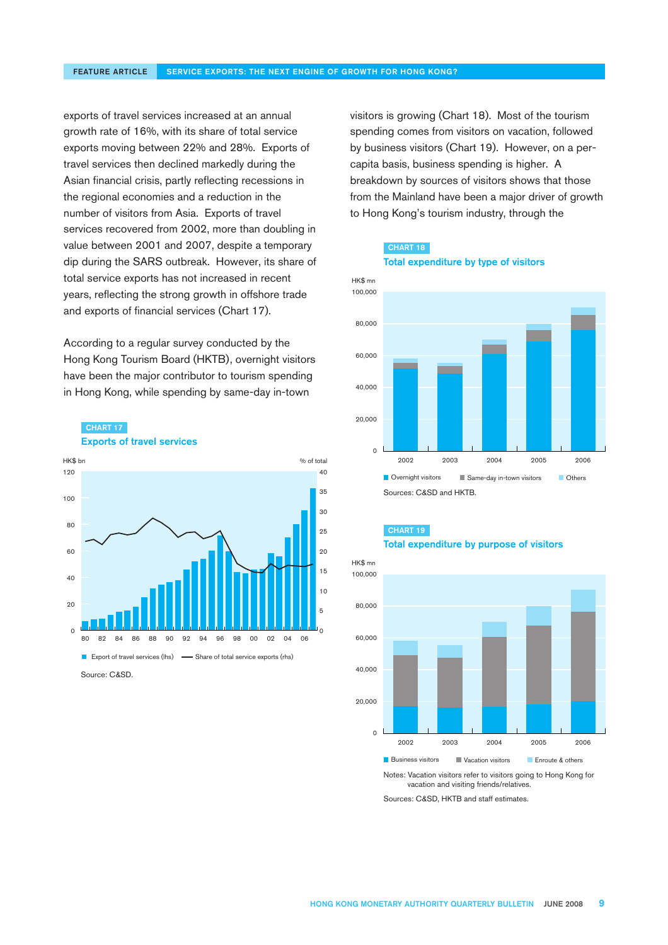exports of travel services increased at an annual growth rate of 16%, with its share of total service exports moving between 22% and 28%. Exports of travel services then declined markedly during the Asian financial crisis, partly reflecting recessions in the regional economies and a reduction in the number of visitors from Asia. Exports of travel services recovered from 2002, more than doubling in value between 2001 and 2007, despite a temporary dip during the SARS outbreak. However, its share of total service exports has not increased in recent years, reflecting the strong growth in offshore trade and exports of financial services (Chart 17).

According to a regular survey conducted by the Hong Kong Tourism Board (HKTB), overnight visitors have been the major contributor to tourism spending in Hong Kong, while spending by same-day in-town



visitors is growing (Chart 18). Most of the tourism spending comes from visitors on vacation, followed by business visitors (Chart 19). However, on a percapita basis, business spending is higher. A breakdown by sources of visitors shows that those from the Mainland have been a major driver of growth to Hong Kong's tourism industry, through the

CHART 18 Total expenditure by type of visitors







Notes: Vacation visitors refer to visitors going to Hong Kong for vacation and visiting friends/relatives.

Sources: C&SD, HKTB and staff estimates.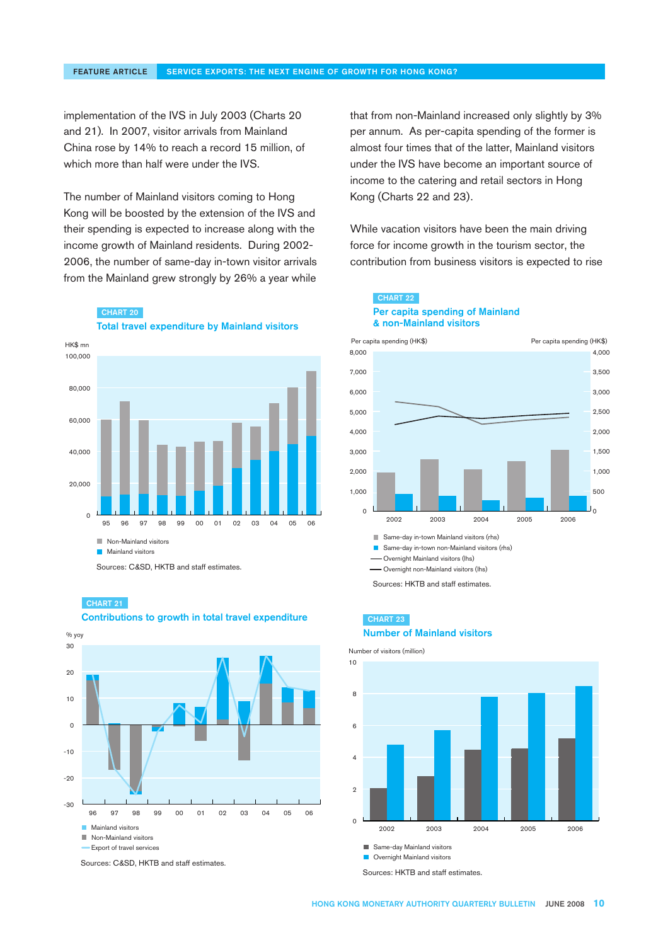implementation of the IVS in July 2003 (Charts 20 and 21). In 2007, visitor arrivals from Mainland China rose by 14% to reach a record 15 million, of which more than half were under the IVS.

The number of Mainland visitors coming to Hong Kong will be boosted by the extension of the IVS and their spending is expected to increase along with the income growth of Mainland residents. During 2002- 2006, the number of same-day in-town visitor arrivals from the Mainland grew strongly by 26% a year while

#### CHART 20

Total travel expenditure by Mainland visitors



Sources: C&SD, HKTB and staff estimates.

CHART 21



Contributions to growth in total travel expenditure

#### CHART 22 Per capita spending of Mainland & non-Mainland visitors

Kong (Charts 22 and 23).

that from non-Mainland increased only slightly by 3% per annum. As per-capita spending of the former is almost four times that of the latter, Mainland visitors under the IVS have become an important source of income to the catering and retail sectors in Hong

While vacation visitors have been the main driving force for income growth in the tourism sector, the contribution from business visitors is expected to rise



Overnight non-Mainland visitors (lhs)

Sources: HKTB and staff estimates.



Number of visitors (million)



Sources: HKTB and staff estimates.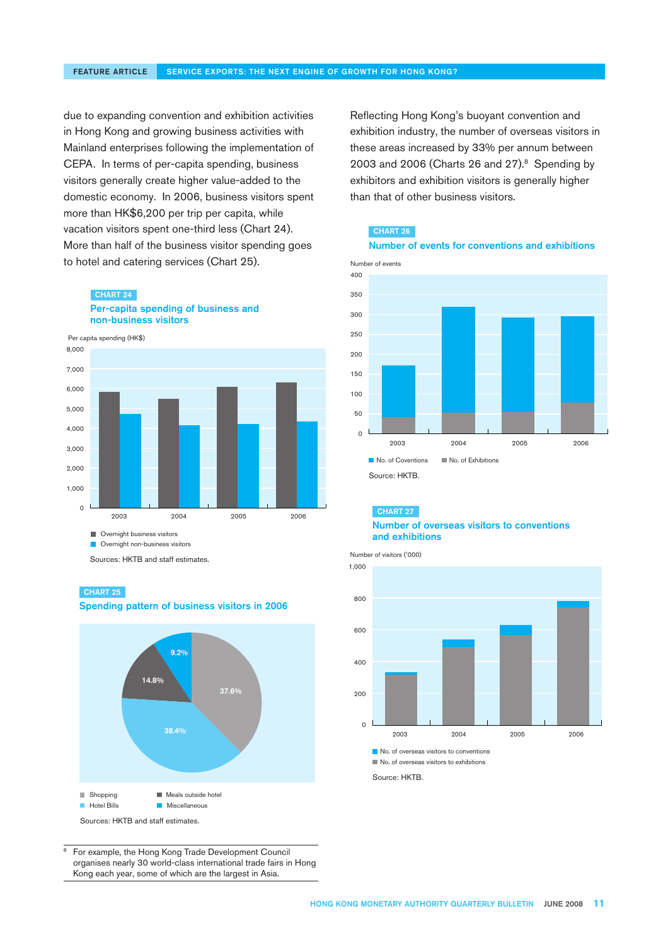due to expanding convention and exhibition activities in Hong Kong and growing business activities with Mainland enterprises following the implementation of CEPA. In terms of per-capita spending, business visitors generally create higher value-added to the domestic economy. In 2006, business visitors spent more than HK\$6,200 per trip per capita, while vacation visitors spent one-third less (Chart 24). More than half of the business visitor spending goes to hotel and catering services (Chart 25).







Sources: HKTB and staff estimates.

#### CHART 25



Spending pattern of business visitors in 2006

For example, the Hong Kong Trade Development Council organises nearly 30 world-class international trade fairs in Hong Kong each year, some of which are the largest in Asia.

Reflecting Hong Kong's buoyant convention and exhibition industry, the number of overseas visitors in these areas increased by 33% per annum between 2003 and 2006 (Charts 26 and 27).<sup>8</sup> Spending by exhibitors and exhibition visitors is generally higher than that of other business visitors.



### CHART 27

CHART 26

#### Number of overseas visitors to conventions and exhibitions

Number of visitors ('000)



No. of overseas visitors to conventions  $\blacksquare$  No. of overseas visitors to exhibitions

Source: HKTB.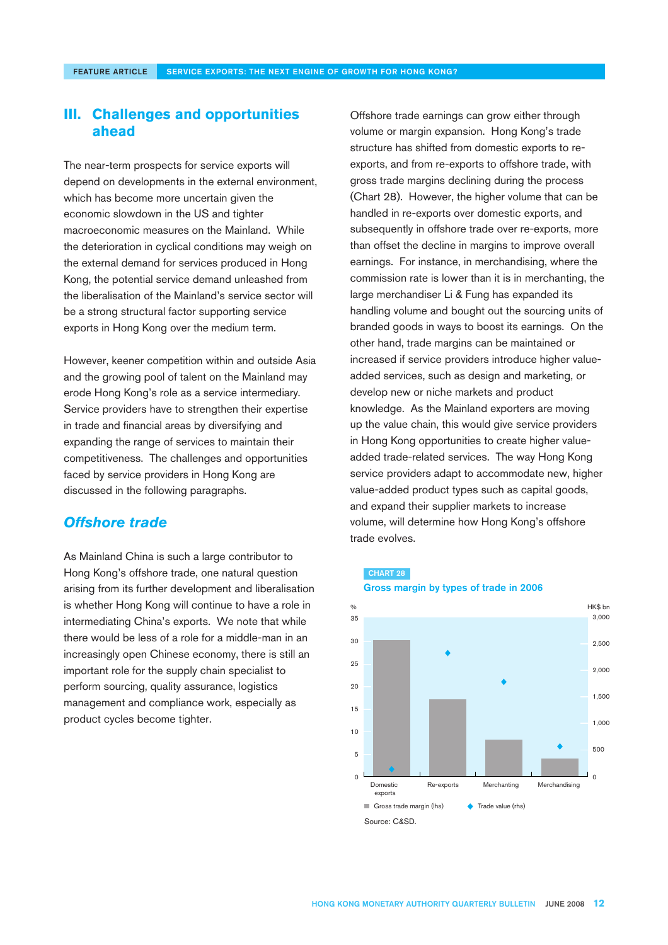### **III. Challenges and opportunities ahead**

The near-term prospects for service exports will depend on developments in the external environment, which has become more uncertain given the economic slowdown in the US and tighter macroeconomic measures on the Mainland. While the deterioration in cyclical conditions may weigh on the external demand for services produced in Hong Kong, the potential service demand unleashed from the liberalisation of the Mainland's service sector will be a strong structural factor supporting service exports in Hong Kong over the medium term.

However, keener competition within and outside Asia and the growing pool of talent on the Mainland may erode Hong Kong's role as a service intermediary. Service providers have to strengthen their expertise in trade and financial areas by diversifying and expanding the range of services to maintain their competitiveness. The challenges and opportunities faced by service providers in Hong Kong are discussed in the following paragraphs.

### *Offshore trade*

As Mainland China is such a large contributor to Hong Kong's offshore trade, one natural question arising from its further development and liberalisation is whether Hong Kong will continue to have a role in intermediating China's exports. We note that while there would be less of a role for a middle-man in an increasingly open Chinese economy, there is still an important role for the supply chain specialist to perform sourcing, quality assurance, logistics management and compliance work, especially as product cycles become tighter.

Offshore trade earnings can grow either through volume or margin expansion. Hong Kong's trade structure has shifted from domestic exports to reexports, and from re-exports to offshore trade, with gross trade margins declining during the process (Chart 28). However, the higher volume that can be handled in re-exports over domestic exports, and subsequently in offshore trade over re-exports, more than offset the decline in margins to improve overall earnings. For instance, in merchandising, where the commission rate is lower than it is in merchanting, the large merchandiser Li & Fung has expanded its handling volume and bought out the sourcing units of branded goods in ways to boost its earnings. On the other hand, trade margins can be maintained or increased if service providers introduce higher valueadded services, such as design and marketing, or develop new or niche markets and product knowledge. As the Mainland exporters are moving up the value chain, this would give service providers in Hong Kong opportunities to create higher valueadded trade-related services. The way Hong Kong service providers adapt to accommodate new, higher value-added product types such as capital goods, and expand their supplier markets to increase volume, will determine how Hong Kong's offshore trade evolves.



### CHART 28 Gross margin by types of trade in 2006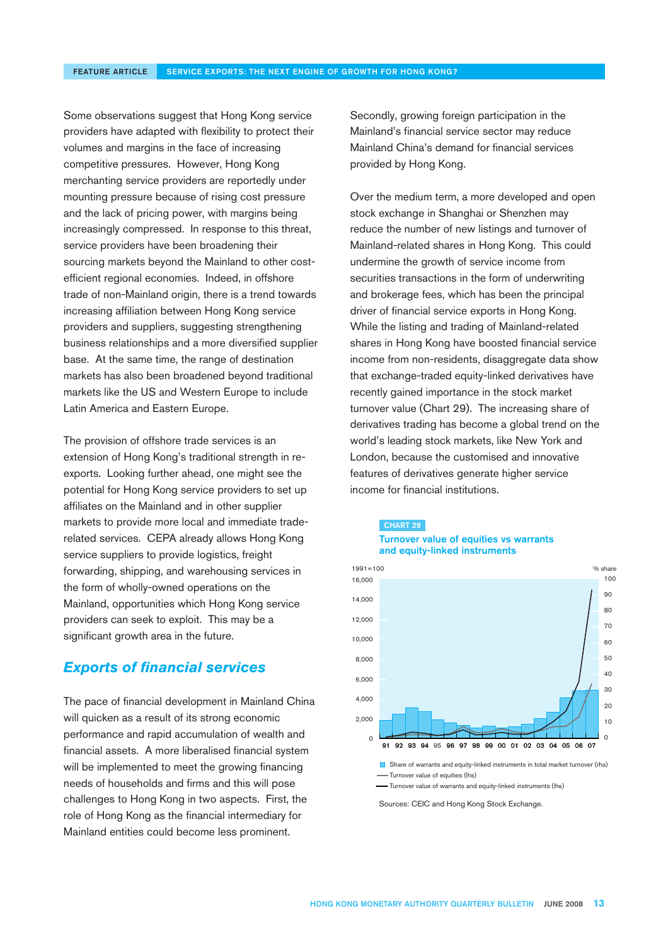Some observations suggest that Hong Kong service providers have adapted with flexibility to protect their volumes and margins in the face of increasing competitive pressures. However, Hong Kong merchanting service providers are reportedly under mounting pressure because of rising cost pressure and the lack of pricing power, with margins being increasingly compressed. In response to this threat, service providers have been broadening their sourcing markets beyond the Mainland to other costefficient regional economies. Indeed, in offshore trade of non-Mainland origin, there is a trend towards increasing affiliation between Hong Kong service providers and suppliers, suggesting strengthening business relationships and a more diversified supplier base. At the same time, the range of destination markets has also been broadened beyond traditional markets like the US and Western Europe to include Latin America and Eastern Europe.

The provision of offshore trade services is an extension of Hong Kong's traditional strength in reexports. Looking further ahead, one might see the potential for Hong Kong service providers to set up affiliates on the Mainland and in other supplier markets to provide more local and immediate traderelated services. CEPA already allows Hong Kong service suppliers to provide logistics, freight forwarding, shipping, and warehousing services in the form of wholly-owned operations on the Mainland, opportunities which Hong Kong service providers can seek to exploit. This may be a significant growth area in the future.

## *Exports of financial services*

The pace of financial development in Mainland China will quicken as a result of its strong economic performance and rapid accumulation of wealth and financial assets. A more liberalised financial system will be implemented to meet the growing financing needs of households and firms and this will pose challenges to Hong Kong in two aspects. First, the role of Hong Kong as the financial intermediary for Mainland entities could become less prominent.

Secondly, growing foreign participation in the Mainland's financial service sector may reduce Mainland China's demand for financial services provided by Hong Kong.

Over the medium term, a more developed and open stock exchange in Shanghai or Shenzhen may reduce the number of new listings and turnover of Mainland-related shares in Hong Kong. This could undermine the growth of service income from securities transactions in the form of underwriting and brokerage fees, which has been the principal driver of financial service exports in Hong Kong. While the listing and trading of Mainland-related shares in Hong Kong have boosted financial service income from non-residents, disaggregate data show that exchange-traded equity-linked derivatives have recently gained importance in the stock market turnover value (Chart 29). The increasing share of derivatives trading has become a global trend on the world's leading stock markets, like New York and London, because the customised and innovative features of derivatives generate higher service income for financial institutions.





Sources: CEIC and Hong Kong Stock Exchange.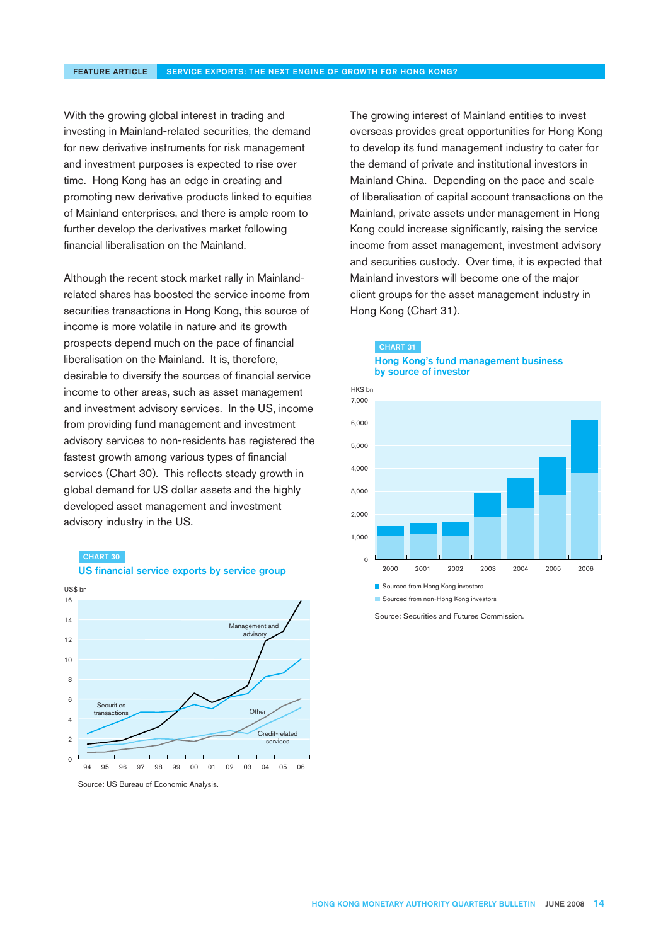With the growing global interest in trading and investing in Mainland-related securities, the demand for new derivative instruments for risk management and investment purposes is expected to rise over time. Hong Kong has an edge in creating and promoting new derivative products linked to equities of Mainland enterprises, and there is ample room to further develop the derivatives market following financial liberalisation on the Mainland.

Although the recent stock market rally in Mainlandrelated shares has boosted the service income from securities transactions in Hong Kong, this source of income is more volatile in nature and its growth prospects depend much on the pace of financial liberalisation on the Mainland. It is, therefore, desirable to diversify the sources of financial service income to other areas, such as asset management and investment advisory services. In the US, income from providing fund management and investment advisory services to non-residents has registered the fastest growth among various types of financial services (Chart 30). This reflects steady growth in global demand for US dollar assets and the highly developed asset management and investment advisory industry in the US.

#### CHART 30



US financial service exports by service group

Source: US Bureau of Economic Analysis.

The growing interest of Mainland entities to invest overseas provides great opportunities for Hong Kong to develop its fund management industry to cater for the demand of private and institutional investors in Mainland China. Depending on the pace and scale of liberalisation of capital account transactions on the Mainland, private assets under management in Hong Kong could increase significantly, raising the service income from asset management, investment advisory and securities custody. Over time, it is expected that Mainland investors will become one of the major client groups for the asset management industry in Hong Kong (Chart 31).





Source: Securities and Futures Commission.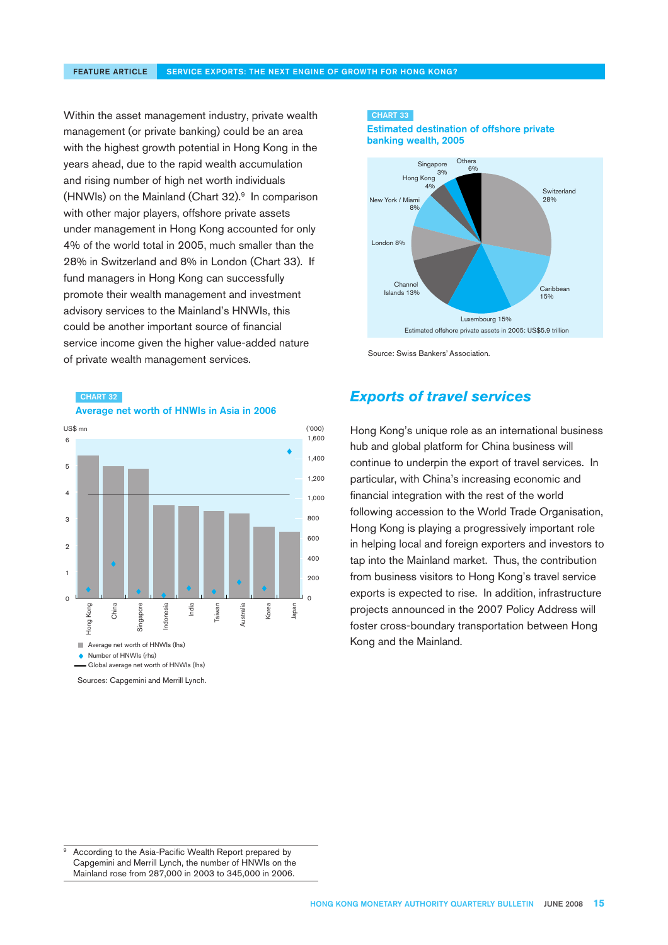Within the asset management industry, private wealth management (or private banking) could be an area with the highest growth potential in Hong Kong in the years ahead, due to the rapid wealth accumulation and rising number of high net worth individuals (HNWIs) on the Mainland (Chart 32).<sup>9</sup> In comparison with other major players, offshore private assets under management in Hong Kong accounted for only 4% of the world total in 2005, much smaller than the 28% in Switzerland and 8% in London (Chart 33). If fund managers in Hong Kong can successfully promote their wealth management and investment advisory services to the Mainland's HNWIs, this could be another important source of financial service income given the higher value-added nature of private wealth management services.

#### CHART 32



Sources: Capgemini and Merrill Lynch.

#### CHART 33

Estimated destination of offshore private banking wealth, 2005



Source: Swiss Bankers' Association.

### *Exports of travel services*

Hong Kong's unique role as an international business hub and global platform for China business will continue to underpin the export of travel services. In particular, with China's increasing economic and financial integration with the rest of the world following accession to the World Trade Organisation, Hong Kong is playing a progressively important role in helping local and foreign exporters and investors to tap into the Mainland market. Thus, the contribution from business visitors to Hong Kong's travel service exports is expected to rise. In addition, infrastructure projects announced in the 2007 Policy Address will foster cross-boundary transportation between Hong Kong and the Mainland.

According to the Asia-Pacific Wealth Report prepared by Capgemini and Merrill Lynch, the number of HNWIs on the Mainland rose from 287,000 in 2003 to 345,000 in 2006.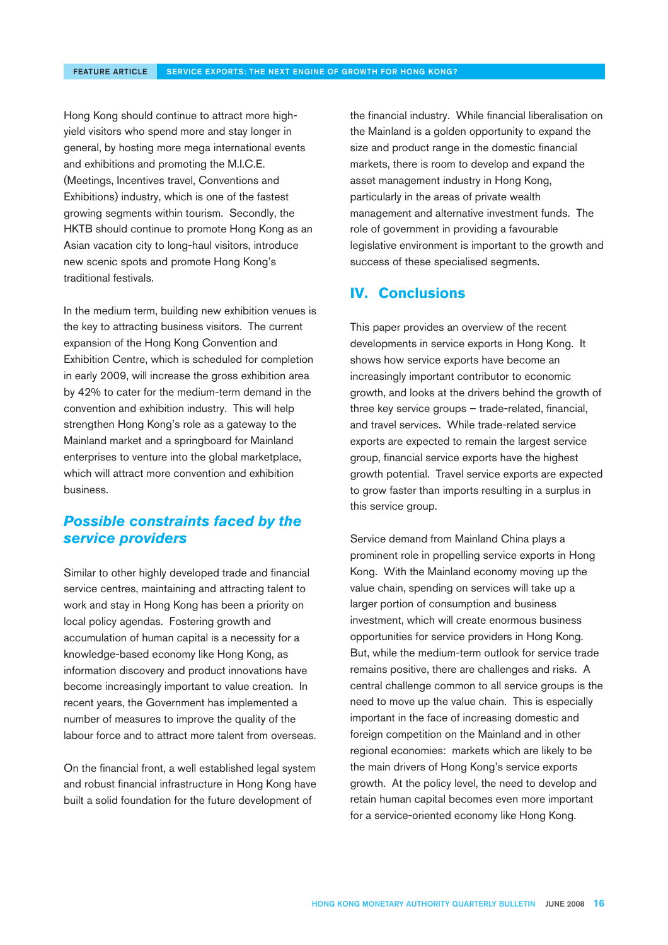Hong Kong should continue to attract more highyield visitors who spend more and stay longer in general, by hosting more mega international events and exhibitions and promoting the M.I.C.E. (Meetings, Incentives travel, Conventions and Exhibitions) industry, which is one of the fastest growing segments within tourism. Secondly, the HKTB should continue to promote Hong Kong as an Asian vacation city to long-haul visitors, introduce new scenic spots and promote Hong Kong's traditional festivals.

In the medium term, building new exhibition venues is the key to attracting business visitors. The current expansion of the Hong Kong Convention and Exhibition Centre, which is scheduled for completion in early 2009, will increase the gross exhibition area by 42% to cater for the medium-term demand in the convention and exhibition industry. This will help strengthen Hong Kong's role as a gateway to the Mainland market and a springboard for Mainland enterprises to venture into the global marketplace, which will attract more convention and exhibition business.

# *Possible constraints faced by the service providers*

Similar to other highly developed trade and financial service centres, maintaining and attracting talent to work and stay in Hong Kong has been a priority on local policy agendas. Fostering growth and accumulation of human capital is a necessity for a knowledge-based economy like Hong Kong, as information discovery and product innovations have become increasingly important to value creation. In recent years, the Government has implemented a number of measures to improve the quality of the labour force and to attract more talent from overseas.

On the financial front, a well established legal system and robust financial infrastructure in Hong Kong have built a solid foundation for the future development of

the financial industry. While financial liberalisation on the Mainland is a golden opportunity to expand the size and product range in the domestic financial markets, there is room to develop and expand the asset management industry in Hong Kong, particularly in the areas of private wealth management and alternative investment funds. The role of government in providing a favourable legislative environment is important to the growth and success of these specialised segments.

### **IV. Conclusions**

This paper provides an overview of the recent developments in service exports in Hong Kong. It shows how service exports have become an increasingly important contributor to economic growth, and looks at the drivers behind the growth of three key service groups – trade-related, financial, and travel services. While trade-related service exports are expected to remain the largest service group, financial service exports have the highest growth potential. Travel service exports are expected to grow faster than imports resulting in a surplus in this service group.

Service demand from Mainland China plays a prominent role in propelling service exports in Hong Kong. With the Mainland economy moving up the value chain, spending on services will take up a larger portion of consumption and business investment, which will create enormous business opportunities for service providers in Hong Kong. But, while the medium-term outlook for service trade remains positive, there are challenges and risks. A central challenge common to all service groups is the need to move up the value chain. This is especially important in the face of increasing domestic and foreign competition on the Mainland and in other regional economies: markets which are likely to be the main drivers of Hong Kong's service exports growth. At the policy level, the need to develop and retain human capital becomes even more important for a service-oriented economy like Hong Kong.